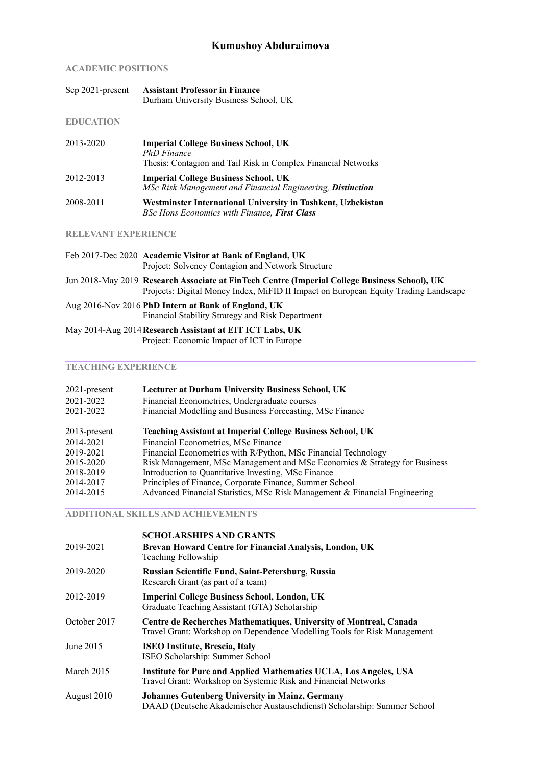# **ACADEMIC POSITIONS**

| Sep 2021-present | <b>Assistant Professor in Finance</b><br>Durham University Business School, UK                                                     |
|------------------|------------------------------------------------------------------------------------------------------------------------------------|
| <b>EDUCATION</b> |                                                                                                                                    |
| 2013-2020        | <b>Imperial College Business School, UK</b><br><b>PhD</b> Finance<br>Thesis: Contagion and Tail Risk in Complex Financial Networks |
| 2012-2013        | <b>Imperial College Business School, UK</b><br>MSc Risk Management and Financial Engineering, Distinction                          |
| 2008-2011        | Westminster International University in Tashkent, Uzbekistan<br><b>BSc Hons Economics with Finance, First Class</b>                |

## **RELEVANT EXPERIENCE**

| Feb 2017-Dec 2020 Academic Visitor at Bank of England, UK<br>Project: Solvency Contagion and Network Structure                                                                       |
|--------------------------------------------------------------------------------------------------------------------------------------------------------------------------------------|
| Jun 2018-May 2019 Research Associate at FinTech Centre (Imperial College Business School), UK<br>Projects: Digital Money Index, MiFID II Impact on European Equity Trading Landscape |
| Aug 2016-Nov 2016 PhD Intern at Bank of England, UK<br>Financial Stability Strategy and Risk Department                                                                              |
| May 2014-Aug 2014 Research Assistant at EIT ICT Labs, UK                                                                                                                             |

Project: Economic Impact of ICT in Europe

### **TEACHING EXPERIENCE**

| 2021-present    | <b>Lecturer at Durham University Business School, UK</b>                   |
|-----------------|----------------------------------------------------------------------------|
| 2021-2022       | Financial Econometrics, Undergraduate courses                              |
| 2021-2022       | Financial Modelling and Business Forecasting, MSc Finance                  |
| $2013$ -present | <b>Teaching Assistant at Imperial College Business School, UK</b>          |
| 2014-2021       | Financial Econometrics, MSc Finance                                        |
| 2019-2021       | Financial Econometrics with R/Python, MSc Financial Technology             |
| 2015-2020       | Risk Management, MSc Management and MSc Economics & Strategy for Business  |
| 2018-2019       | Introduction to Quantitative Investing, MSc Finance                        |
| 2014-2017       | Principles of Finance, Corporate Finance, Summer School                    |
| 2014-2015       | Advanced Financial Statistics, MSc Risk Management & Financial Engineering |

**ADDITIONAL SKILLS AND ACHIEVEMENTS**

|              | <b>SCHOLARSHIPS AND GRANTS</b>                                                                                                                 |
|--------------|------------------------------------------------------------------------------------------------------------------------------------------------|
| 2019-2021    | Brevan Howard Centre for Financial Analysis, London, UK<br><b>Teaching Fellowship</b>                                                          |
| 2019-2020    | Russian Scientific Fund, Saint-Petersburg, Russia<br>Research Grant (as part of a team)                                                        |
| 2012-2019    | <b>Imperial College Business School, London, UK</b><br>Graduate Teaching Assistant (GTA) Scholarship                                           |
| October 2017 | Centre de Recherches Mathematiques, University of Montreal, Canada<br>Travel Grant: Workshop on Dependence Modelling Tools for Risk Management |
| June 2015    | <b>ISEO Institute, Brescia, Italy</b><br>ISEO Scholarship: Summer School                                                                       |
| March 2015   | Institute for Pure and Applied Mathematics UCLA, Los Angeles, USA<br>Travel Grant: Workshop on Systemic Risk and Financial Networks            |
| August 2010  | <b>Johannes Gutenberg University in Mainz, Germany</b><br>DAAD (Deutsche Akademischer Austauschdienst) Scholarship: Summer School              |
|              |                                                                                                                                                |